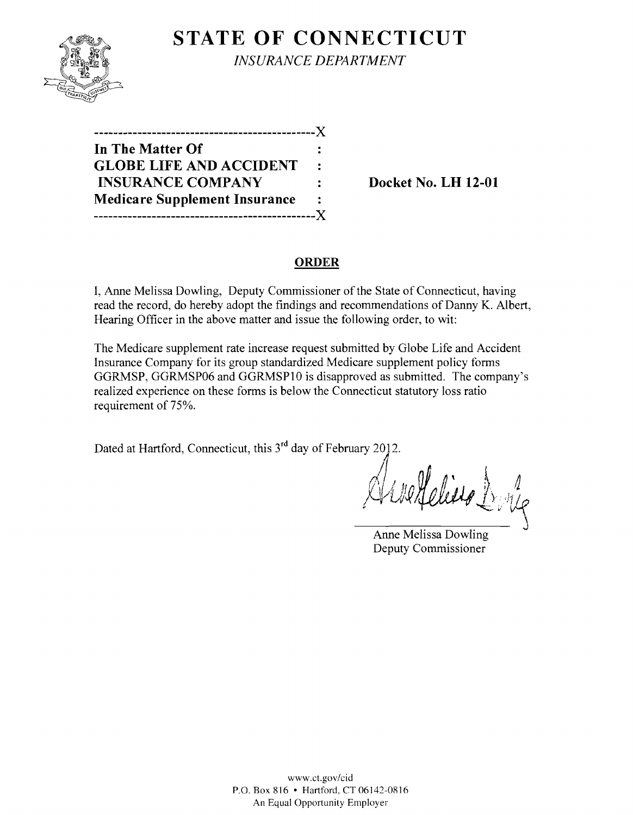

**STATE OF CONNECTICUT** *INSURANCE DEPARTMENT* 

| . _ _ _ _ _ _ _ _ _ _                |                |
|--------------------------------------|----------------|
| In The Matter Of                     |                |
| <b>GLOBE LIFE AND ACCIDENT</b>       | $\ddot{\cdot}$ |
| <b>INSURANCE COMPANY</b>             |                |
| <b>Medicare Supplement Insurance</b> | $\ddot{\cdot}$ |
|                                      |                |

**Docket No. LH 12-01** 

## **ORDER**

I, Anne Melissa Dowling, Deputy Commissioner of the State of Connecticut, having read the record, do hereby adopt the findings and recommendations of Danny K. Albert, Hearing Officer in the above matter and issue the following order, to wit:

The Medicare supplement rate increase request submitted by Globe Life and Accident Insurance Company for its group standardized Medicare supplement policy forms GGRMSP, GGRMSP06 and GGRMSP10 is disapproved as submitted. The company's realized experience on these forms is below the Connecticut statutory loss ratio requirement of 75%.

Dated at Hartford, Connecticut, this 3<sup>rd</sup> day of February 2012.

. I .  $_{\ell}$  110  $_{\ell}$   $_{\ell}$   $_{\ell}$   $_{\ell}$   $_{\ell}$   $_{\ell}$   $_{\ell}$   $_{\ell}$   $_{\ell}$   $_{\ell}$   $_{\ell}$   $_{\ell}$   $_{\ell}$   $_{\ell}$   $_{\ell}$   $_{\ell}$   $_{\ell}$   $_{\ell}$   $_{\ell}$   $_{\ell}$   $_{\ell}$   $_{\ell}$   $_{\ell}$   $_{\ell}$   $_{\ell}$   $_{\ell}$   $_{\ell}$   $_{\ell}$   $_{\ell}$   $_{\ell}$  \l *0V'.R* I \·.··)1 / . ~,,,

Anne Melissa Dowling Deputy Commissioner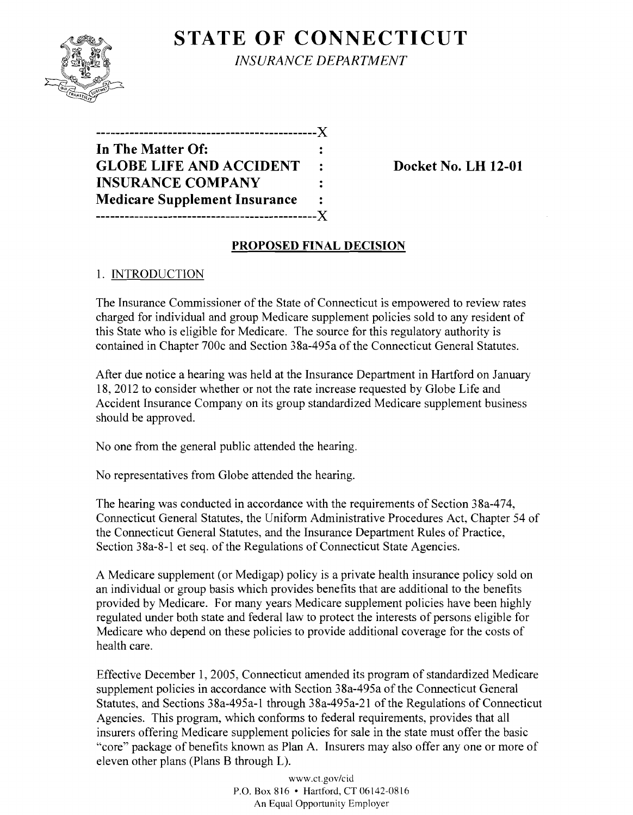

**STATE OF CONNECTICUT** *INSURANCE DEPARTMENT* 

| In The Matter Of:                    |            |
|--------------------------------------|------------|
| <b>GLOBE LIFE AND ACCIDENT</b>       | $\ddot{z}$ |
| <b>INSURANCE COMPANY</b>             |            |
| <b>Medicare Supplement Insurance</b> |            |
| ---------------------------X         |            |

**Docket No. LH 12-01** 

### **PROPOSED FINAL DECISION**

### 1. INTRODUCTION

The Insurance Commissioner of the State of Connecticut is empowered to review rates charged for individual and group Medicare supplement policies sold to any resident of this State who is eligible for Medicare. The source for this regulatory authority is contained in Chapter 700c and Section 38a-495a of the Connecticut General Statutes.

After due notice a hearing was held at the Insurance Department in Hartford on January 18,2012 to consider whether or not the rate increase requested by Globe Life and Accident Insurance Company on its group standardized Medicare supplement business should be approved.

No one from the general public attended the hearing.

No representatives from Globe attended the hearing.

The hearing was conducted in accordance with the requirements of Section 38a-474, Connecticut General Statutes, the Uniform Administrative Procedures Act, Chapter 54 of the Connecticut General Statutes, and the Insurance Department Rules of Practice, Section 38a-8-l et seq. of the Regulations of Connecticut State Agencies.

A Medicare supplement (or Medigap) policy is a private health insurance policy sold on an individual or group basis which provides benefits that are additional to the benefits provided by Medicare. For many years Medicare supplement policies have been highly regulated under both state and federal law to protect the interests of persons eligible for Medicare who depend on these policies to provide additional coverage for the costs of health care.

Effective December 1, 2005, Connecticut amended its program of standardized Medicare supplement policies in accordance with Section 38a-495a of the Connecticut General Statutes, and Sections 38a-495a-l through 38a-495a-2l of the Regulations of Connecticut Agencies. This program, which conforms to federal requirements, provides that all insurers offering Medicare supplement policies for sale in the state must offer the basic "core" package of benefits known as Plan A. Insurers may also offer anyone or more of eleven other plans (Plans B through L).

> www.ct.gov/cid P.O. Box 816 • Hartford, CT 06142-0816 An Equal Opportunity Employer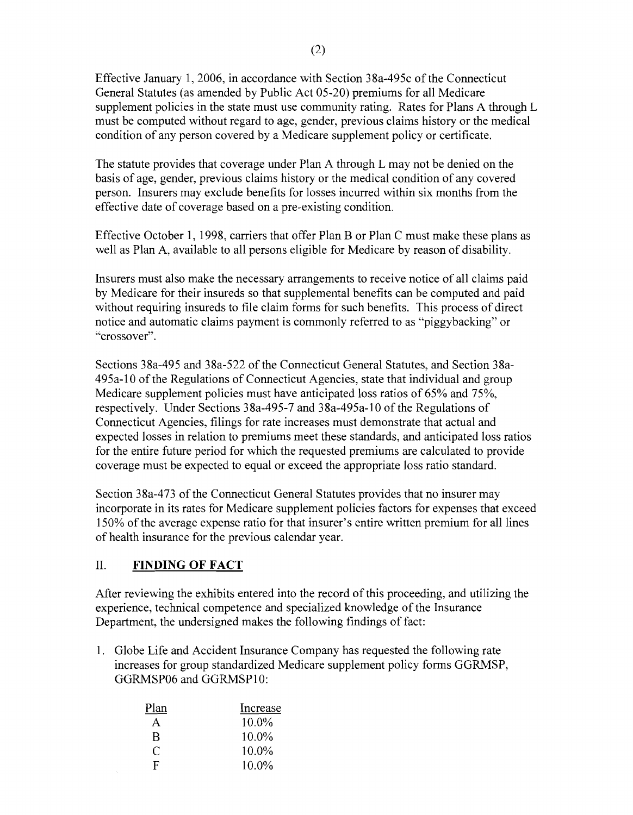Effective January 1,2006, in accordance with Section 38a-495c ofthe Connecticut General Statutes (as amended by Public Act 05-20) premiums for all Medicare supplement policies in the state must use community rating. Rates for Plans A through L must be computed without regard to age, gender, previous claims history or the medical condition of any person covered by a Medicare supplement policy or certificate.

The statute provides that coverage under Plan A through L may not be denied on the basis of age, gender, previous claims history or the medical condition of any covered person. Insurers may exclude benefits for losses incurred within six months from the effective date of coverage based on a pre-existing condition.

Effective October 1, 1998, carriers that offer Plan B or Plan C must make these plans as well as Plan A, available to all persons eligible for Medicare by reason of disability.

Insurers must also make the necessary arrangements to receive notice of all claims paid by Medicare for their insureds so that supplemental benefits can be computed and paid without requiring insureds to file claim forms for such benefits. This process of direct notice and automatic claims payment is commonly referred to as "piggybacking" or "crossover".

Sections 38a-495 and 38a-522 of the Connecticut General Statutes, and Section 38a-495a-l0 ofthe Regulations of Connecticut Agencies, state that individual and group Medicare supplement policies must have anticipated loss ratios of 65% and 75%, respectively. Under Sections 38a-495-7 and 38a-495a-l0 of the Regulations of Connecticut Agencies, filings for rate increases must demonstrate that actual and expected losses in relation to premiums meet these standards, and anticipated loss ratios for the entire future period for which the requested premiums are calculated to provide coverage must be expected to equal or exceed the appropriate loss ratio standard.

Section 38a-473 of the Connecticut General Statutes provides that no insurer may incorporate in its rates for Medicare supplement policies factors for expenses that exceed 150% of the average expense ratio for that insurer's entire written premium for all lines of health insurance for the previous calendar year.

# II. **FINDING OF FACT**

After reviewing the exhibits entered into the record of this proceeding, and utilizing the experience, technical competence and specialized knowledge of the Insurance Department, the undersigned makes the following findings of fact:

1. Globe Life and Accident Insurance Company has requested the following rate increases for group standardized Medicare supplement policy forms GGRMSP, GGRMSP06 and GGRMSPI0:

| Plan         | Increase |
|--------------|----------|
| $\mathsf{A}$ | $10.0\%$ |
| R            | 10.0%    |
| C            | 10.0%    |
| F.           | 10.0%    |